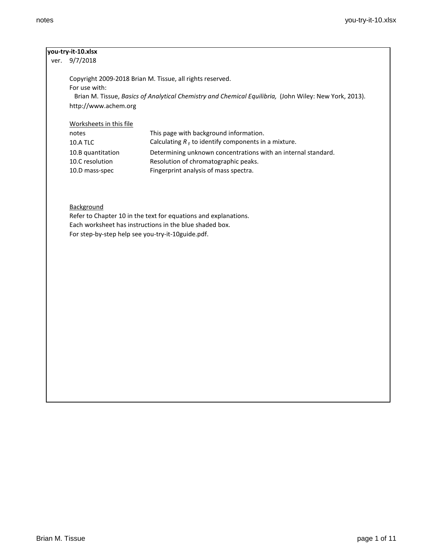|      | vou-try-it-10.xlsx                                                                                     |
|------|--------------------------------------------------------------------------------------------------------|
| ver. | 9/7/2018                                                                                               |
|      |                                                                                                        |
|      | Copyright 2009-2018 Brian M. Tissue, all rights reserved.                                              |
|      | For use with:                                                                                          |
|      | Brian M. Tissue, Basics of Analytical Chemistry and Chemical Equilibria, (John Wiley: New York, 2013). |
|      | http://www.achem.org                                                                                   |
|      |                                                                                                        |
|      | Worksheets in this file                                                                                |
|      |                                                                                                        |

| notes             | This page with background information.                        |
|-------------------|---------------------------------------------------------------|
| <b>10.A TLC</b>   | Calculating $R_F$ to identify components in a mixture.        |
| 10.B quantitation | Determining unknown concentrations with an internal standard. |
| 10.C resolution   | Resolution of chromatographic peaks.                          |
| 10.D mass-spec    | Fingerprint analysis of mass spectra.                         |

# **Background**

Refer to Chapter 10 in the text for equations and explanations. Each worksheet has instructions in the blue shaded box. For step-by-step help see you-try-it-10guide.pdf.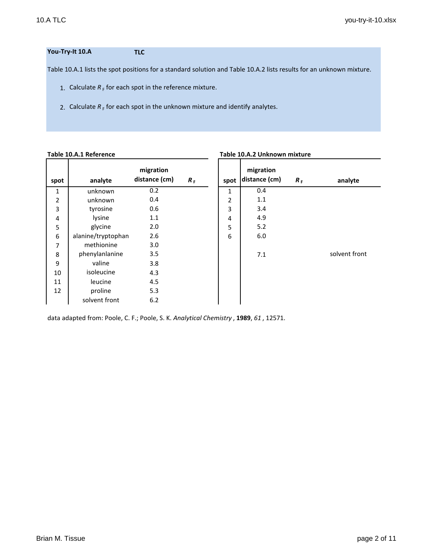## **You-Try-It 10.A TLC**

Table 10.A.1 lists the spot positions for a standard solution and Table 10.A.2 lists results for an unknown mixture.

1. Calculate  $R_F$  for each spot in the reference mixture.

2. Calculate  $R_F$  for each spot in the unknown mixture and identify analytes.

| Table 10.A.1 Reference |                    |                            |         |                | Table 10.A.2 Unknown mixture |       |               |
|------------------------|--------------------|----------------------------|---------|----------------|------------------------------|-------|---------------|
| spot                   | analyte            | migration<br>distance (cm) | $R_{F}$ | spot           | migration<br>distance (cm)   | $R_F$ | analyte       |
| 1                      | unknown            | 0.2                        |         | 1              | 0.4                          |       |               |
| 2                      | unknown            | 0.4                        |         | $\overline{2}$ | 1.1                          |       |               |
| 3                      | tyrosine           | 0.6                        |         | 3              | 3.4                          |       |               |
| 4                      | lysine             | 1.1                        |         | 4              | 4.9                          |       |               |
| 5                      | glycine            | 2.0                        |         | 5              | 5.2                          |       |               |
| 6                      | alanine/tryptophan | 2.6                        |         | 6              | 6.0                          |       |               |
| 7                      | methionine         | 3.0                        |         |                |                              |       |               |
| 8                      | phenylanlanine     | 3.5                        |         |                | 7.1                          |       | solvent front |
| 9                      | valine             | 3.8                        |         |                |                              |       |               |
| 10                     | isoleucine         | 4.3                        |         |                |                              |       |               |
| 11                     | leucine            | 4.5                        |         |                |                              |       |               |
| 12                     | proline            | 5.3                        |         |                |                              |       |               |
|                        | solvent front      | 6.2                        |         |                |                              |       |               |

data adapted from: Poole, C. F.; Poole, S. K. *Analytical Chemistry* , **1989**, *61* , 12571.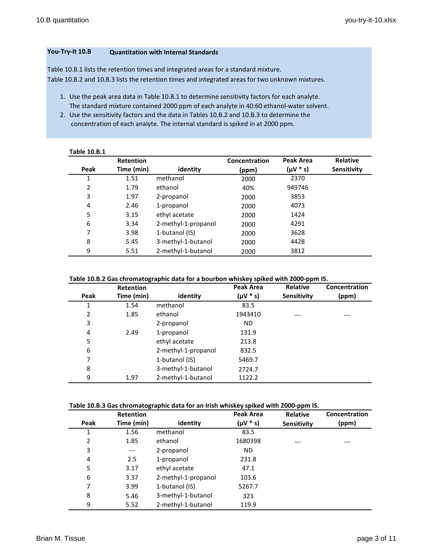# **You-Try-It 10.B Quantitation with Internal Standards**

Table 10.B.1 lists the retention times and integrated areas for a standard mixture. Table 10.B.2 and 10.B.3 lists the retention times and integrated areas for two unknown mixtures.

- 1. Use the peak area data in Table 10.B.1 to determine sensitivity factors for each analyte. The standard mixture contained 2000 ppm of each analyte in 40:60 ethanol-water solvent.
- 2. Use the sensitivity factors and the data in Tables 10.B.2 and 10.B.3 to determine the concentration of each analyte. The internal standard is spiked in at 2000 ppm.

| <b>Table 10.B.1</b> |                  |                     |               |               |                 |
|---------------------|------------------|---------------------|---------------|---------------|-----------------|
|                     | <b>Retention</b> |                     | Concentration | Peak Area     | <b>Relative</b> |
| Peak                | Time (min)       | identity            | (ppm)         | $(\mu V * s)$ | Sensitivity     |
| 1                   | 1.51             | methanol            | 2000          | 2370          |                 |
| 2                   | 1.79             | ethanol             | 40%           | 949746        |                 |
| 3                   | 1.97             | 2-propanol          | 2000          | 3853          |                 |
| 4                   | 2.46             | 1-propanol          | 2000          | 4073          |                 |
| 5                   | 3.15             | ethyl acetate       | 2000          | 1424          |                 |
| 6                   | 3.34             | 2-methyl-1-propanol | 2000          | 4291          |                 |
| 7                   | 3.98             | 1-butanol (IS)      | 2000          | 3628          |                 |
| 8                   | 5.45             | 3-methyl-1-butanol  | 2000          | 4428          |                 |
| 9                   | 5.51             | 2-methyl-1-butanol  | 2000          | 3812          |                 |

### **Table 10.B.2 Gas chromatographic data for a bourbon whiskey spiked with 2000-ppm IS.**

|      | <b>Retention</b> |                     | Peak Area     | <b>Relative</b> | Concentration |
|------|------------------|---------------------|---------------|-----------------|---------------|
| Peak | Time (min)       | identity            | $(\mu V * s)$ | Sensitivity     | (ppm)         |
| 1    | 1.54             | methanol            | 83.5          |                 |               |
| 2    | 1.85             | ethanol             | 1943410       |                 |               |
| 3    |                  | 2-propanol          | ND.           |                 |               |
| 4    | 2.49             | 1-propanol          | 131.9         |                 |               |
| 5    |                  | ethyl acetate       | 213.8         |                 |               |
| 6    |                  | 2-methyl-1-propanol | 832.5         |                 |               |
| 7    |                  | 1-butanol (IS)      | 5469.7        |                 |               |
| 8    |                  | 3-methyl-1-butanol  | 2724.7        |                 |               |
| 9    | 1.97             | 2-methyl-1-butanol  | 1122.2        |                 |               |
|      |                  |                     |               |                 |               |

## **Table 10.B.3 Gas chromatographic data for an Irish whiskey spiked with 2000-ppm IS.**

|      | <b>Retention</b> |                     | Peak Area     | <b>Relative</b> | Concentration |
|------|------------------|---------------------|---------------|-----------------|---------------|
| Peak | Time (min)       | identity            | $(\mu V * s)$ | Sensitivity     | (ppm)         |
| 1    | 1.56             | methanol            | 83.5          |                 |               |
| 2    | 1.85             | ethanol             | 1680398       |                 |               |
| 3    | ---              | 2-propanol          | <b>ND</b>     |                 |               |
| 4    | 2.5              | 1-propanol          | 231.8         |                 |               |
| 5    | 3.17             | ethyl acetate       | 47.1          |                 |               |
| 6    | 3.37             | 2-methyl-1-propanol | 103.6         |                 |               |
| 7    | 3.99             | 1-butanol (IS)      | 5267.7        |                 |               |
| 8    | 5.46             | 3-methyl-1-butanol  | 323           |                 |               |
| 9    | 5.52             | 2-methyl-1-butanol  | 119.9         |                 |               |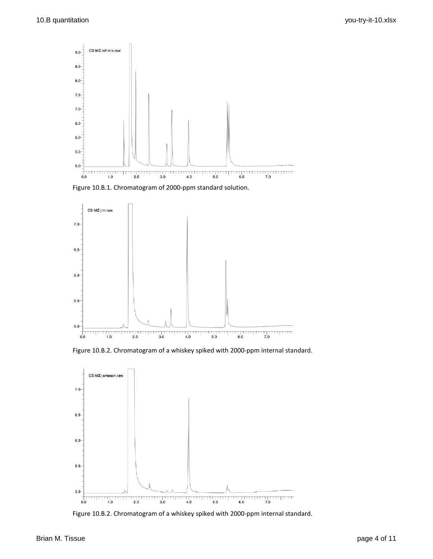

Figure 10.B.1. Chromatogram of 2000-ppm standard solution.



Figure 10.B.2. Chromatogram of a whiskey spiked with 2000-ppm internal standard.



Figure 10.B.2. Chromatogram of a whiskey spiked with 2000-ppm internal standard.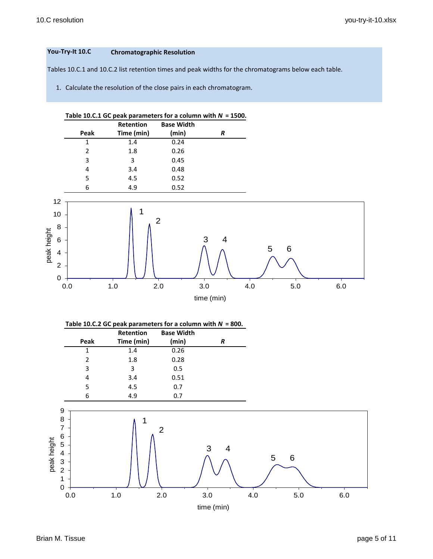# **You-Try-It 10.C Chromatographic Resolution**

Tables 10.C.1 and 10.C.2 list retention times and peak widths for the chromatograms below each table.

1. Calculate the resolution of the close pairs in each chromatogram.



|  | Table 10.C.2 GC peak parameters for a column with $N = 800$ . |  |  |
|--|---------------------------------------------------------------|--|--|
|--|---------------------------------------------------------------|--|--|

|                                                                                                                           |                | Retention    | <b>Base Width</b>     |                              |                           |                  |         |
|---------------------------------------------------------------------------------------------------------------------------|----------------|--------------|-----------------------|------------------------------|---------------------------|------------------|---------|
|                                                                                                                           | Peak           | Time (min)   | (min)                 | $\pmb{R}$                    |                           |                  |         |
|                                                                                                                           | $\mathbf{1}$   | 1.4          | 0.26                  |                              |                           |                  |         |
|                                                                                                                           | $\overline{2}$ | $1.8\,$      | 0.28                  |                              |                           |                  |         |
|                                                                                                                           | 3              | $\mathsf{3}$ | 0.5                   |                              |                           |                  |         |
|                                                                                                                           | 4              | 3.4          | 0.51                  |                              |                           |                  |         |
|                                                                                                                           | 5              | 4.5          | 0.7                   |                              |                           |                  |         |
|                                                                                                                           | 6              | 4.9          | 0.7                   |                              |                           |                  |         |
| 9<br>8<br>$\overline{7}$<br>$\,6$<br>peak height<br>5<br>$\overline{\mathbf{4}}$<br>3<br>$\overline{2}$<br>1<br>$\pmb{0}$ | $0.0\,$        | 1<br>$1.0$   | $\overline{2}$<br>2.0 | $\mathbf{3}$<br>4<br>$3.0\,$ | $\overline{5}$<br>$4.0\,$ | $\,6$<br>$5.0\,$ | $6.0\,$ |
|                                                                                                                           |                |              |                       | time (min)                   |                           |                  |         |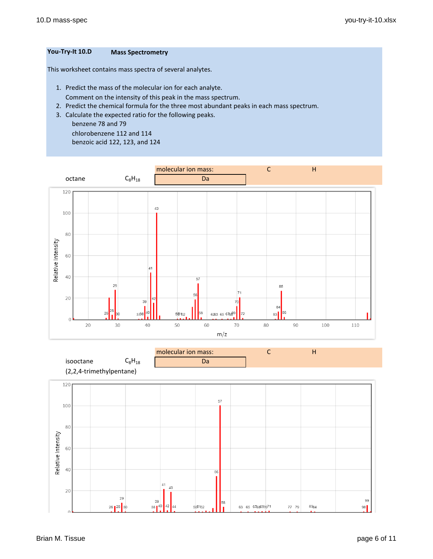# **You-Try-It 10.D Mass Spectrometry**

This worksheet contains mass spectra of several analytes.

- 1. Predict the mass of the molecular ion for each analyte.
- Comment on the intensity of this peak in the mass spectrum.
- 2. Predict the chemical formula for the three most abundant peaks in each mass spectrum.
- 3. Calculate the expected ratio for the following peaks.
	- benzene 78 and 79 chlorobenzene 112 and 114 benzoic acid 122, 123, and 124





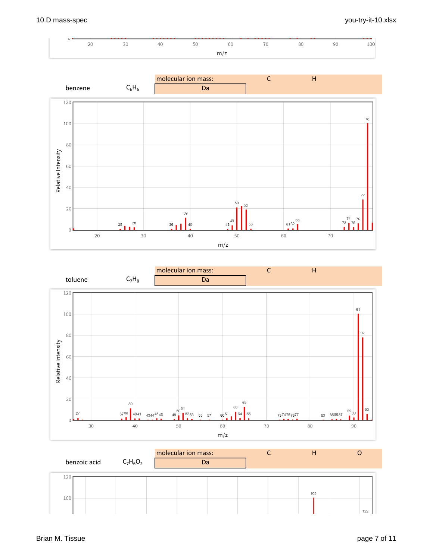





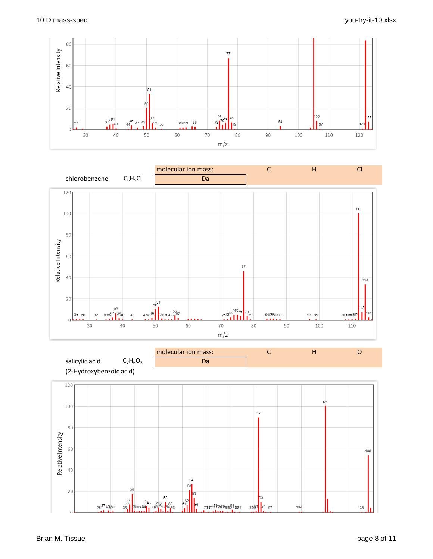



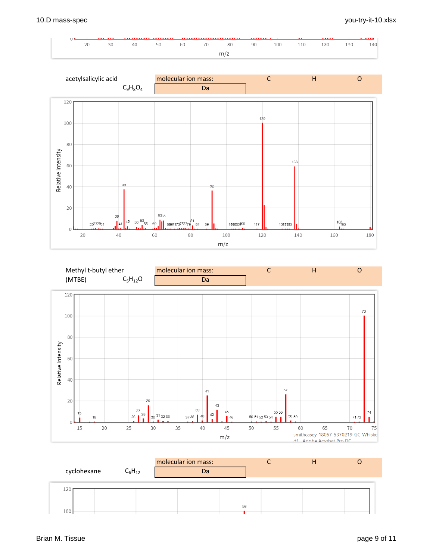





| cyclohexane | $C_6H_{12}$ | molecular ion mass:<br>Da |    |  |  |
|-------------|-------------|---------------------------|----|--|--|
| 120         |             |                           |    |  |  |
| 100         |             |                           | 56 |  |  |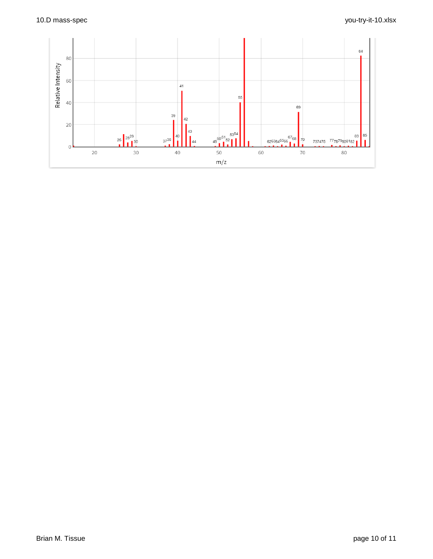